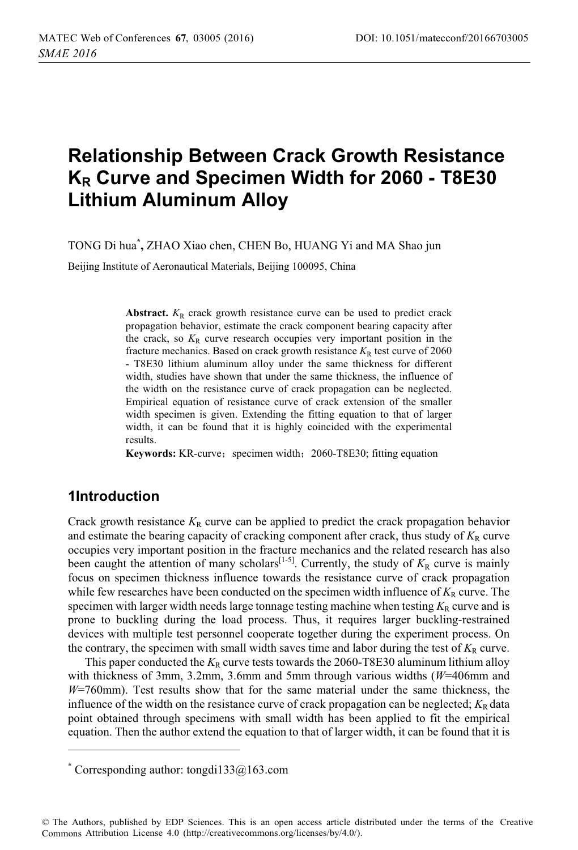# **Relationship Between Crack Growth Resistance KR Curve and Specimen Width for 2060 - T8E30 Lithium Aluminum Alloy**

TONG Di hua**\* ,** ZHAO Xiao chen, CHEN Bo, HUANG Yi and MA Shao jun

Beijing Institute of Aeronautical Materials, Beijing 100095, China

**Abstract.**  $K_R$  crack growth resistance curve can be used to predict crack propagation behavior, estimate the crack component bearing capacity after the crack, so  $K_R$  curve research occupies very important position in the fracture mechanics. Based on crack growth resistance  $K_R$  test curve of 2060 - T8E30 lithium aluminum alloy under the same thickness for different width, studies have shown that under the same thickness, the influence of the width on the resistance curve of crack propagation can be neglected. Empirical equation of resistance curve of crack extension of the smaller width specimen is given. Extending the fitting equation to that of larger width, it can be found that it is highly coincided with the experimental results.

**Keywords:** KR-curve; specimen width; 2060-T8E30; fitting equation

#### **1Introduction**

 $\overline{a}$ 

Crack growth resistance  $K_R$  curve can be applied to predict the crack propagation behavior and estimate the bearing capacity of cracking component after crack, thus study of  $K_R$  curve occupies very important position in the fracture mechanics and the related research has also been caught the attention of many scholars<sup>[1-5]</sup>. Currently, the study of  $K_R$  curve is mainly focus on specimen thickness influence towards the resistance curve of crack propagation while few researches have been conducted on the specimen width influence of  $K_R$  curve. The specimen with larger width needs large tonnage testing machine when testing  $K_R$  curve and is prone to buckling during the load process. Thus, it requires larger buckling-restrained devices with multiple test personnel cooperate together during the experiment process. On the contrary, the specimen with small width saves time and labor during the test of  $K_R$  curve.

This paper conducted the  $K_R$  curve tests towards the 2060-T8E30 aluminum lithium alloy with thickness of 3mm, 3.2mm, 3.6mm and 5mm through various widths (*W*=406mm and *W*=760mm). Test results show that for the same material under the same thickness, the influence of the width on the resistance curve of crack propagation can be neglected;  $K_R$  data point obtained through specimens with small width has been applied to fit the empirical equation. Then the author extend the equation to that of larger width, it can be found that it is

© The Authors, published by EDP Sciences. This is an open access article distributed under the terms of the Creative Commons Attribution License 4.0 (http://creativecommons.org/licenses/by/4.0/).

<sup>\*</sup> Corresponding author: tongdi133@163.com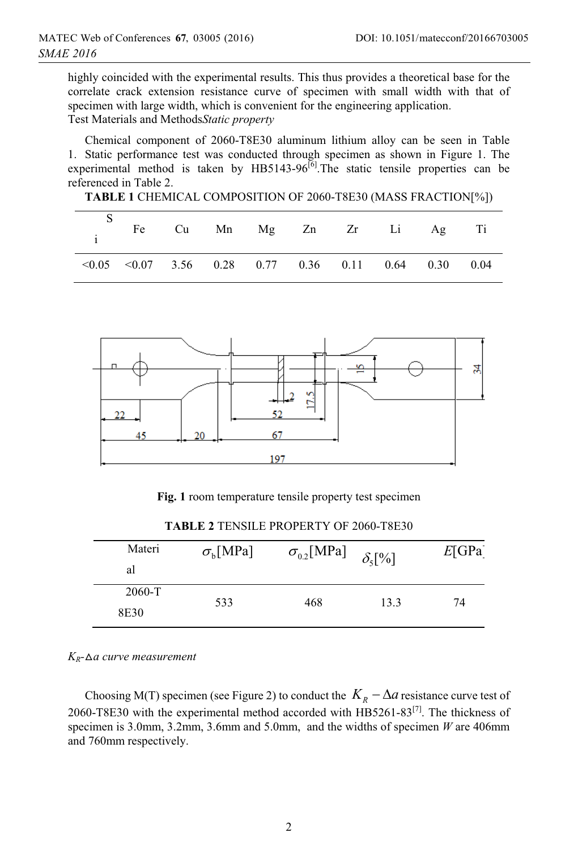highly coincided with the experimental results. This thus provides a theoretical base for the correlate crack extension resistance curve of specimen with small width with that of specimen with large width, which is convenient for the engineering application. Test Materials and Methods*Static property* 

Chemical component of 2060-T8E30 aluminum lithium alloy can be seen in Table 1. Static performance test was conducted through specimen as shown in Figure 1. The experimental method is taken by HB5143-96<sup>[6]</sup>. The static tensile properties can be referenced in Table 2.

|  | TABLE 1 CHEMICAL COMPOSITION OF 2060-T8E30 (MASS FRACTION[%]) |  |
|--|---------------------------------------------------------------|--|
|--|---------------------------------------------------------------|--|

|                                                                 |  | Fe Cu Mn Mg Zn Zr Li Ag Ti |  |  |
|-----------------------------------------------------------------|--|----------------------------|--|--|
| $\leq 0.05$ $\leq 0.07$ 3.56 0.28 0.77 0.36 0.11 0.64 0.30 0.04 |  |                            |  |  |



**Fig. 1** room temperature tensile property test specimen

| Materi<br>al   | $\sigma_{\rm h}$ [MPa] | $\sigma_{0.2}[\text{MPa}]$ | $\delta_{5}$ [%] | E[GPa] |
|----------------|------------------------|----------------------------|------------------|--------|
| 2060-T<br>8E30 | 533                    | 468                        | 13.3             | 74     |

**TABLE 2** TENSILE PROPERTY OF 2060-T8E30

*KR-*-*a curve measurement* 

Choosing M(T) specimen (see Figure 2) to conduct the  $K_R - \Delta a$  resistance curve test of 2060-T8E30 with the experimental method accorded with  $HBS261-83^{[7]}$ . The thickness of specimen is 3.0mm, 3.2mm, 3.6mm and 5.0mm, and the widths of specimen *W* are 406mm and 760mm respectively.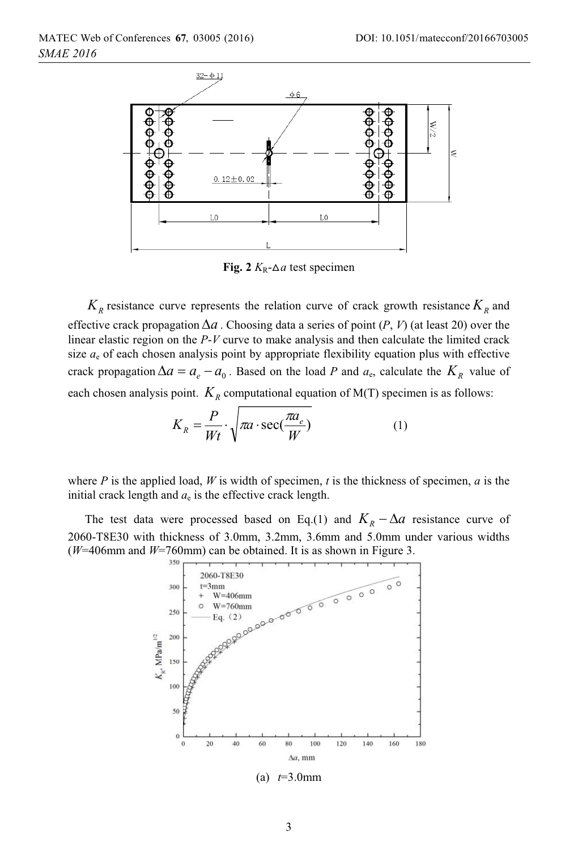

**Fig. 2**  $K_R$ - $\Delta a$  test specimen

 $K_R$  resistance curve represents the relation curve of crack growth resistance  $K_R$  and effective crack propagation  $\Delta a$ . Choosing data a series of point  $(P, V)$  (at least 20) over the linear elastic region on the *P*-*V* curve to make analysis and then calculate the limited crack size  $a<sub>e</sub>$  of each chosen analysis point by appropriate flexibility equation plus with effective crack propagation  $\Delta a = a_{\rho} - a_0$ . Based on the load *P* and  $a_{\rm e}$ , calculate the  $K_R$  value of each chosen analysis point.  $K_R$  computational equation of M(T) specimen is as follows:

$$
K_R = \frac{P}{Wt} \cdot \sqrt{\pi a \cdot \sec(\frac{\pi a_e}{W})}
$$
 (1)

where *P* is the applied load, *W* is width of specimen, *t* is the thickness of specimen, *a* is the initial crack length and  $a_e$  is the effective crack length.

The test data were processed based on Eq.(1) and  $K_R - \Delta a$  resistance curve of 2060-T8E30 with thickness of 3.0mm, 3.2mm, 3.6mm and 5.0mm under various widths ( $W=406$ mm and  $W=760$ mm) can be obtained. It is as shown in Figure 3.



(a) *t*=3.0mm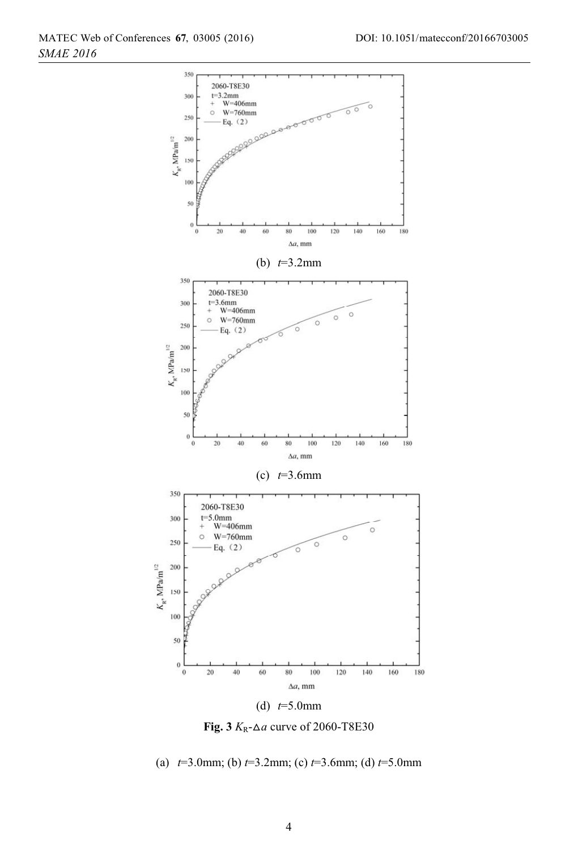

Fig.  $3 K_R - \Delta a$  curve of 2060-T8E30

(a) *t*=3.0mm; (b) *t*=3.2mm; (c) *t*=3.6mm; (d) *t*=5.0mm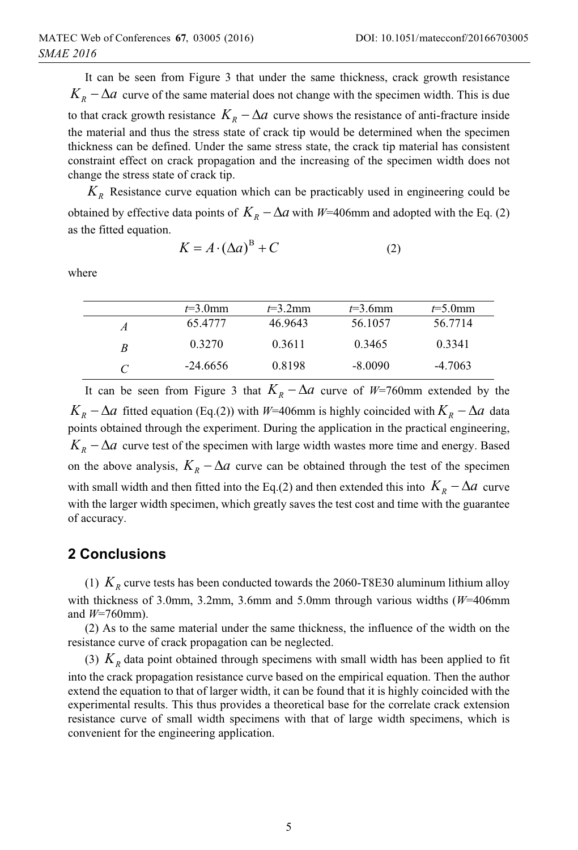It can be seen from Figure 3 that under the same thickness, crack growth resistance  $K_R - \Delta a$  curve of the same material does not change with the specimen width. This is due to that crack growth resistance  $K_R - \Delta a$  curve shows the resistance of anti-fracture inside the material and thus the stress state of crack tip would be determined when the specimen thickness can be defined. Under the same stress state, the crack tip material has consistent constraint effect on crack propagation and the increasing of the specimen width does not change the stress state of crack tip.

*KR* Resistance curve equation which can be practicably used in engineering could be obtained by effective data points of  $K_R - \Delta a$  with *W*=406mm and adopted with the Eq. (2) as the fitted equation.

$$
K = A \cdot (\Delta a)^{B} + C \tag{2}
$$

where

|   | $t=3.0$ mm | $t=3.2$ mm | $t=3.6$ mm | $t=5.0$ mm |
|---|------------|------------|------------|------------|
| А | 65.4777    | 46.9643    | 56.1057    | 56.7714    |
| R | 0.3270     | 0.3611     | 0.3465     | 0.3341     |
|   | $-24.6656$ | 0.8198     | $-8.0090$  | $-4.7063$  |

It can be seen from Figure 3 that  $K_R - \Delta a$  curve of *W*=760mm extended by the  $K_R - \Delta a$  fitted equation (Eq.(2)) with *W*=406mm is highly coincided with  $K_R - \Delta a$  data points obtained through the experiment. During the application in the practical engineering,  $K_R - \Delta a$  curve test of the specimen with large width wastes more time and energy. Based on the above analysis,  $K_R - \Delta a$  curve can be obtained through the test of the specimen with small width and then fitted into the Eq.(2) and then extended this into  $K<sub>n</sub> - \Delta a$  curve with the larger width specimen, which greatly saves the test cost and time with the guarantee of accuracy.

### **2 Conclusions**

(1)  $K_R$  curve tests has been conducted towards the 2060-T8E30 aluminum lithium alloy with thickness of 3.0mm, 3.2mm, 3.6mm and 5.0mm through various widths (*W*=406mm and *W*=760mm).

(2) As to the same material under the same thickness, the influence of the width on the resistance curve of crack propagation can be neglected.

(3)  $K_R$  data point obtained through specimens with small width has been applied to fit into the crack propagation resistance curve based on the empirical equation. Then the author extend the equation to that of larger width, it can be found that it is highly coincided with the experimental results. This thus provides a theoretical base for the correlate crack extension resistance curve of small width specimens with that of large width specimens, which is convenient for the engineering application.